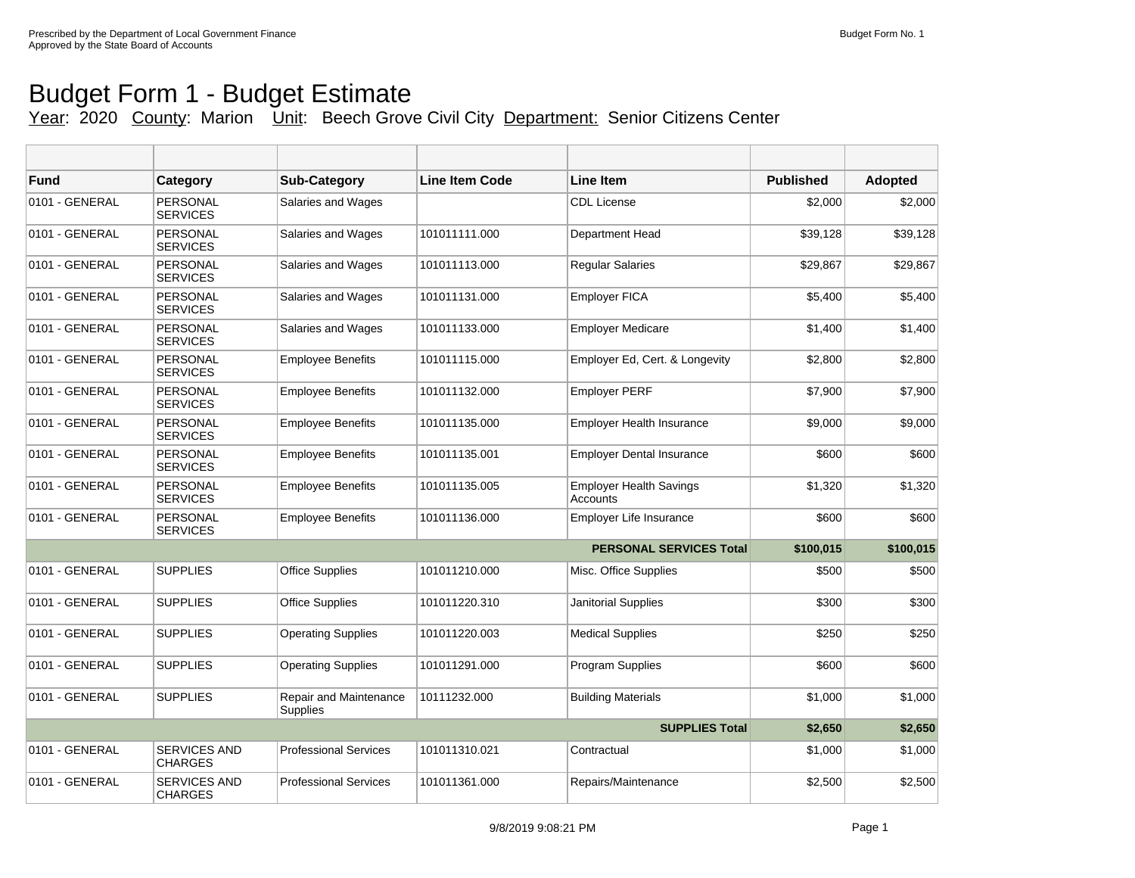## Budget Form 1 - Budget Estimate Year: 2020 County: Marion Unit: Beech Grove Civil City Department: Senior Citizens Center

| Fund           | Category                           | <b>Sub-Category</b>                | Line Item Code | <b>Line Item</b>                           | <b>Published</b> | <b>Adopted</b> |
|----------------|------------------------------------|------------------------------------|----------------|--------------------------------------------|------------------|----------------|
| 0101 - GENERAL | PERSONAL<br><b>SERVICES</b>        | Salaries and Wages                 |                | <b>CDL License</b>                         | \$2,000          | \$2,000        |
| 0101 - GENERAL | PERSONAL<br><b>SERVICES</b>        | Salaries and Wages                 | 101011111.000  | Department Head                            | \$39.128         | \$39,128       |
| 0101 - GENERAL | PERSONAL<br><b>SERVICES</b>        | Salaries and Wages                 | 101011113.000  | <b>Regular Salaries</b>                    | \$29,867         | \$29,867       |
| 0101 - GENERAL | <b>PERSONAL</b><br><b>SERVICES</b> | Salaries and Wages                 | 101011131.000  | <b>Employer FICA</b>                       | \$5,400          | \$5,400        |
| 0101 - GENERAL | <b>PERSONAL</b><br><b>SERVICES</b> | Salaries and Wages                 | 101011133.000  | <b>Employer Medicare</b>                   | \$1,400          | \$1,400        |
| 0101 - GENERAL | PERSONAL<br><b>SERVICES</b>        | <b>Employee Benefits</b>           | 101011115.000  | Employer Ed, Cert. & Longevity             | \$2,800          | \$2,800        |
| 0101 - GENERAL | PERSONAL<br><b>SERVICES</b>        | <b>Employee Benefits</b>           | 101011132.000  | <b>Employer PERF</b>                       | \$7,900          | \$7,900        |
| 0101 - GENERAL | <b>PERSONAL</b><br><b>SERVICES</b> | <b>Employee Benefits</b>           | 101011135.000  | Employer Health Insurance                  | \$9,000          | \$9,000        |
| 0101 - GENERAL | <b>PERSONAL</b><br><b>SERVICES</b> | <b>Employee Benefits</b>           | 101011135.001  | <b>Employer Dental Insurance</b>           | \$600            | \$600          |
| 0101 - GENERAL | <b>PERSONAL</b><br><b>SERVICES</b> | <b>Employee Benefits</b>           | 101011135.005  | <b>Employer Health Savings</b><br>Accounts | \$1,320          | \$1,320        |
| 0101 - GENERAL | PERSONAL<br><b>SERVICES</b>        | <b>Employee Benefits</b>           | 101011136.000  | Employer Life Insurance                    | \$600            | \$600          |
|                |                                    |                                    |                | <b>PERSONAL SERVICES Total</b>             | \$100,015        | \$100,015      |
| 0101 - GENERAL | <b>SUPPLIES</b>                    | <b>Office Supplies</b>             | 101011210.000  | Misc. Office Supplies                      | \$500            | \$500          |
| 0101 - GENERAL | <b>SUPPLIES</b>                    | <b>Office Supplies</b>             | 101011220.310  | <b>Janitorial Supplies</b>                 | \$300            | \$300          |
| 0101 - GENERAL | <b>SUPPLIES</b>                    | <b>Operating Supplies</b>          | 101011220.003  | <b>Medical Supplies</b>                    | \$250            | \$250          |
| 0101 - GENERAL | <b>SUPPLIES</b>                    | <b>Operating Supplies</b>          | 101011291.000  | <b>Program Supplies</b>                    | \$600            | \$600          |
| 0101 - GENERAL | <b>SUPPLIES</b>                    | Repair and Maintenance<br>Supplies | 10111232.000   | <b>Building Materials</b>                  | \$1,000          | \$1,000        |
|                |                                    |                                    |                | <b>SUPPLIES Total</b>                      | \$2,650          | \$2,650        |
| 0101 - GENERAL | <b>SERVICES AND</b><br>CHARGES     | <b>Professional Services</b>       | 101011310.021  | Contractual                                | \$1,000          | \$1,000        |
| 0101 - GENERAL | <b>SERVICES AND</b><br>CHARGES     | <b>Professional Services</b>       | 101011361.000  | Repairs/Maintenance                        | \$2,500          | \$2,500        |